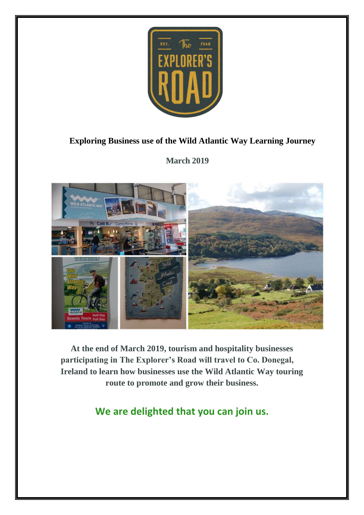

## **Exploring Business use of the Wild Atlantic Way Learning Journey**

**March 2019**



**At the end of March 2019, tourism and hospitality businesses participating in The Explorer's Road will travel to Co. Donegal, Ireland to learn how businesses use the Wild Atlantic Way touring route to promote and grow their business.**

**We are delighted that you can join us.**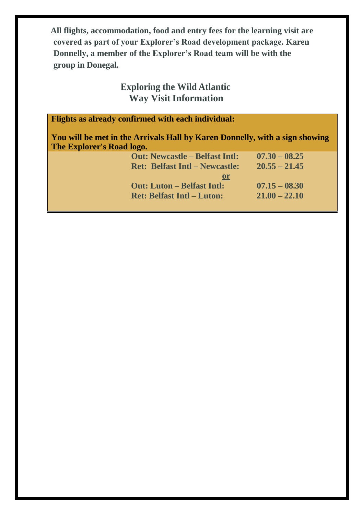**All flights, accommodation, food and entry fees for the learning visit are covered as part of your Explorer's Road development package. Karen Donnelly, a member of the Explorer's Road team will be with the group in Donegal.**

# **Exploring the Wild Atlantic Way Visit Information**

| <b>Flights as already confirmed with each individual:</b> |
|-----------------------------------------------------------|
|-----------------------------------------------------------|

**You will be met in the Arrivals Hall by Karen Donnelly, with a sign showing The Explorer's Road logo.**

| $07.30 - 08.25$ |
|-----------------|
| $20.55 - 21.45$ |
|                 |
| $07.15 - 08.30$ |
| $21.00 - 22.10$ |
|                 |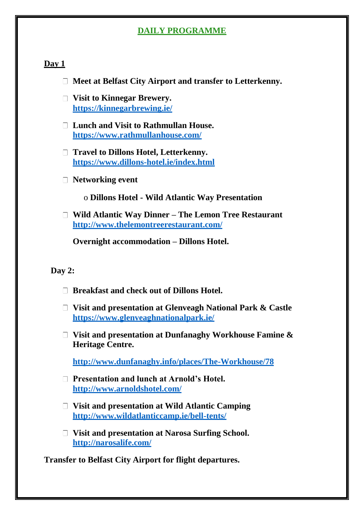## **DAILY PROGRAMME**

#### **Day 1**

- **Meet at Belfast City Airport and transfer to Letterkenny.**
- **Visit to Kinnegar Brewery. <https://kinnegarbrewing.ie/>**
- **Lunch and Visit to Rathmullan House. <https://www.rathmullanhouse.com/>**
- **Travel to Dillons Hotel, Letterkenny. <https://www.dillons-hotel.ie/index.html>**
- **Networking event**
	- o **Dillons Hotel - Wild Atlantic Way Presentation**
- **Wild Atlantic Way Dinner – The Lemon Tree Restaurant <http://www.thelemontreerestaurant.com/>**

**Overnight accommodation – Dillons Hotel.**

#### **Day 2:**

- **Breakfast and check out of Dillons Hotel.**
- **Visit and presentation at Glenveagh National Park & Castle <https://www.glenveaghnationalpark.ie/>**
- **Visit and presentation at Dunfanaghy Workhouse Famine & Heritage Centre.**

**<http://www.dunfanaghy.info/places/The-Workhouse/78>**

- **Presentation and lunch at Arnold's Hotel. <http://www.arnoldshotel.com/>**
- **Visit and presentation at Wild Atlantic Camping <http://www.wildatlanticcamp.ie/bell-tents/>**
- **Visit and presentation at Narosa Surfing School. <http://narosalife.com/>**

**Transfer to Belfast City Airport for flight departures.**